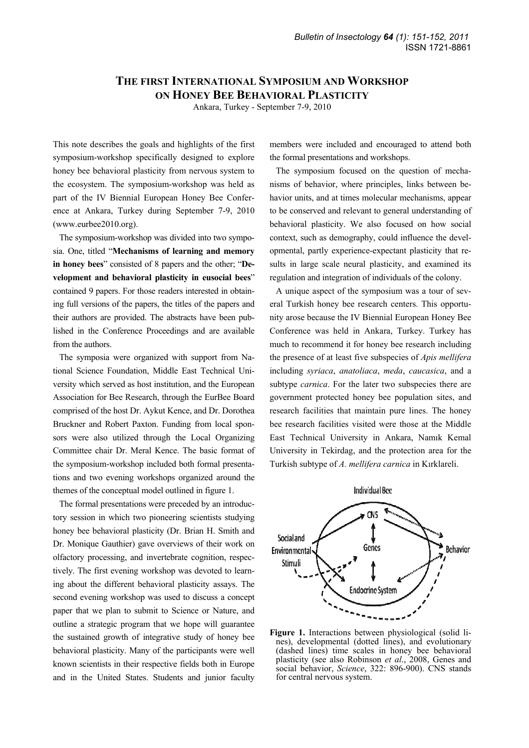## **THE FIRST INTERNATIONAL SYMPOSIUM AND WORKSHOP ON HONEY BEE BEHAVIORAL PLASTICITY**

Ankara, Turkey - September 7-9, 2010

This note describes the goals and highlights of the first symposium-workshop specifically designed to explore honey bee behavioral plasticity from nervous system to the ecosystem. The symposium-workshop was held as part of the IV Biennial European Honey Bee Conference at Ankara, Turkey during September 7-9, 2010 (www.eurbee2010.org).

The symposium-workshop was divided into two symposia. One, titled "**Mechanisms of learning and memory in honey bees**" consisted of 8 papers and the other; "**Development and behavioral plasticity in eusocial bees**" contained 9 papers. For those readers interested in obtaining full versions of the papers, the titles of the papers and their authors are provided. The abstracts have been published in the Conference Proceedings and are available from the authors.

The symposia were organized with support from National Science Foundation, Middle East Technical University which served as host institution, and the European Association for Bee Research, through the EurBee Board comprised of the host Dr. Aykut Kence, and Dr. Dorothea Bruckner and Robert Paxton. Funding from local sponsors were also utilized through the Local Organizing Committee chair Dr. Meral Kence. The basic format of the symposium-workshop included both formal presentations and two evening workshops organized around the themes of the conceptual model outlined in figure 1.

The formal presentations were preceded by an introductory session in which two pioneering scientists studying honey bee behavioral plasticity (Dr. Brian H. Smith and Dr. Monique Gauthier) gave overviews of their work on olfactory processing, and invertebrate cognition, respectively. The first evening workshop was devoted to learning about the different behavioral plasticity assays. The second evening workshop was used to discuss a concept paper that we plan to submit to Science or Nature, and outline a strategic program that we hope will guarantee the sustained growth of integrative study of honey bee behavioral plasticity. Many of the participants were well known scientists in their respective fields both in Europe and in the United States. Students and junior faculty

members were included and encouraged to attend both the formal presentations and workshops.

The symposium focused on the question of mechanisms of behavior, where principles, links between behavior units, and at times molecular mechanisms, appear to be conserved and relevant to general understanding of behavioral plasticity. We also focused on how social context, such as demography, could influence the developmental, partly experience-expectant plasticity that results in large scale neural plasticity, and examined its regulation and integration of individuals of the colony.

A unique aspect of the symposium was a tour of several Turkish honey bee research centers. This opportunity arose because the IV Biennial European Honey Bee Conference was held in Ankara, Turkey. Turkey has much to recommend it for honey bee research including the presence of at least five subspecies of *Apis mellifera*  including *syriaca*, *anatoliaca*, *meda*, *caucasica*, and a subtype *carnica*. For the later two subspecies there are government protected honey bee population sites, and research facilities that maintain pure lines. The honey bee research facilities visited were those at the Middle East Technical University in Ankara, Namık Kemal University in Tekirdag, and the protection area for the Turkish subtype of *A. mellifera carnica* in Kırklareli.



**Figure 1.** Interactions between physiological (solid lines), developmental (dotted lines), and evolutionary (dashed lines) time scales in honey bee behavioral plasticity (see also Robinson *et al*., 2008, Genes and social behavior, *Science*, 322: 896-900). CNS stands for central nervous system.